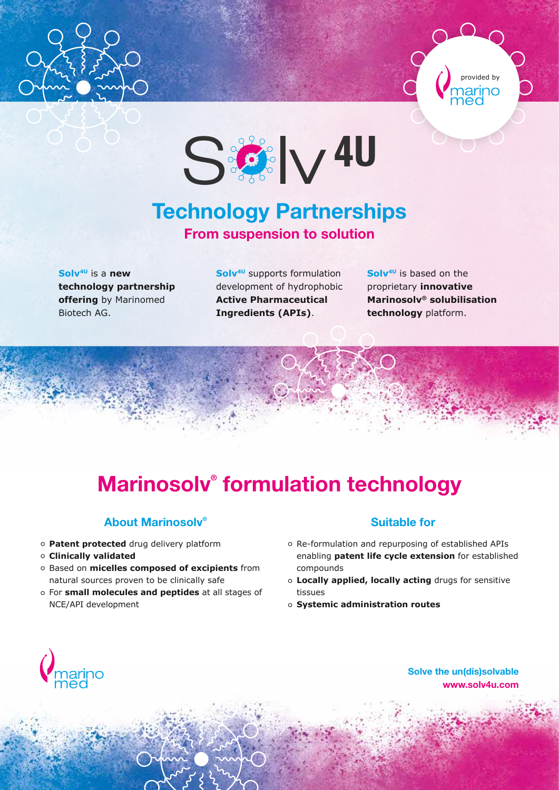





### Technology Partnerships From suspension to solution

**Solv4U** is a **new technology partnership offering** by Marinomed Biotech AG.

**Solv4U** supports formulation development of hydrophobic **Active Pharmaceutical Ingredients (APIs)**.

**Solv4U** is based on the proprietary **innovative Marinosolv® solubilisation technology** platform.

# Marinosolv® formulation technology

### About Marinosolv®

- **Patent protected** drug delivery platform
- **Clinically validated**
- Based on **micelles composed of excipients** from natural sources proven to be clinically safe
- For **small molecules and peptides** at all stages of NCE/API development

#### Suitable for

- Re-formulation and repurposing of established APIs enabling **patent life cycle extension** for established compounds
- **Locally applied, locally acting** drugs for sensitive tissues
- **Systemic administration routes**



Solve the un(dis)solvable www.solv4u.com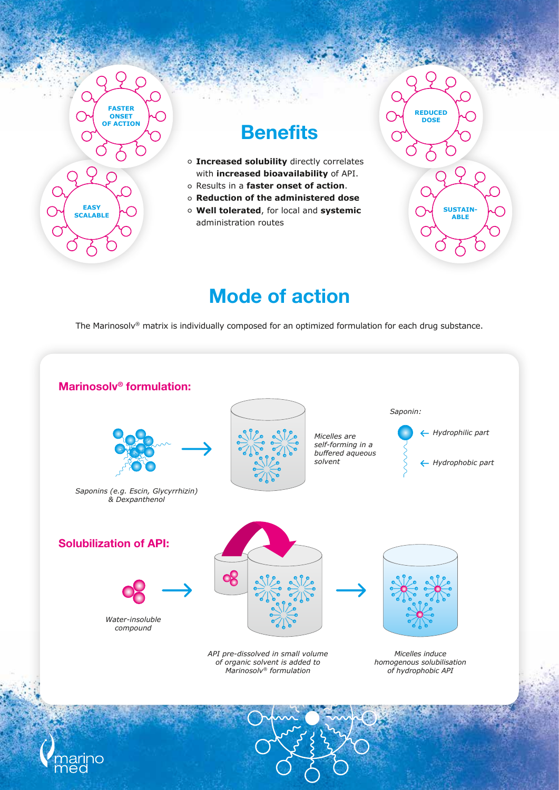

### **Benefits**

- **Increased solubility** directly correlates with **increased bioavailability** of API.
- Results in a **faster onset of action**.
- **Reduction of the administered dose**
- **Well tolerated**, for local and **systemic** administration routes



### Mode of action

The Marinosolv® matrix is individually composed for an optimized formulation for each drug substance.



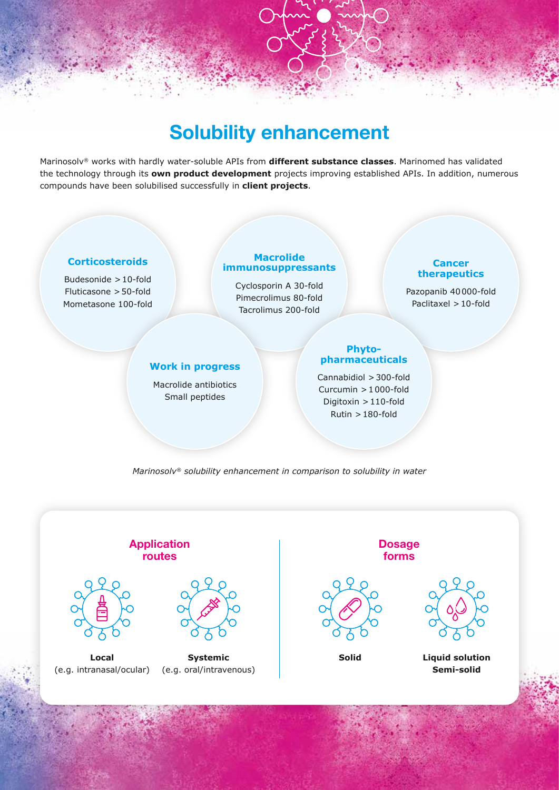## Solubility enhancement

Marinosolv® works with hardly water-soluble APIs from **different substance classes**. Marinomed has validated the technology through its **own product development** projects improving established APIs. In addition, numerous compounds have been solubilised successfully in **client projects**.

#### **Corticosteroids**

Budesonide >10-fold Fluticasone >50-fold Mometasone 100-fold

#### **Macrolide immunosuppressants**

Cyclosporin A 30-fold Pimecrolimus 80-fold Tacrolimus 200-fold

#### **Cancer therapeutics**

Pazopanib 40000-fold Paclitaxel >10-fold

Solve the un(dis)solvable

 $w_1$  with  $w_2$  and  $w_3$ 

#### **Work in progress**

Macrolide antibiotics Small peptides

#### **Phytopharmaceuticals**

Cannabidiol >300-fold Curcumin >1000-fold Digitoxin >110-fold Rutin >180-fold

*Marinosolv® solubility enhancement in comparison to solubility in water*